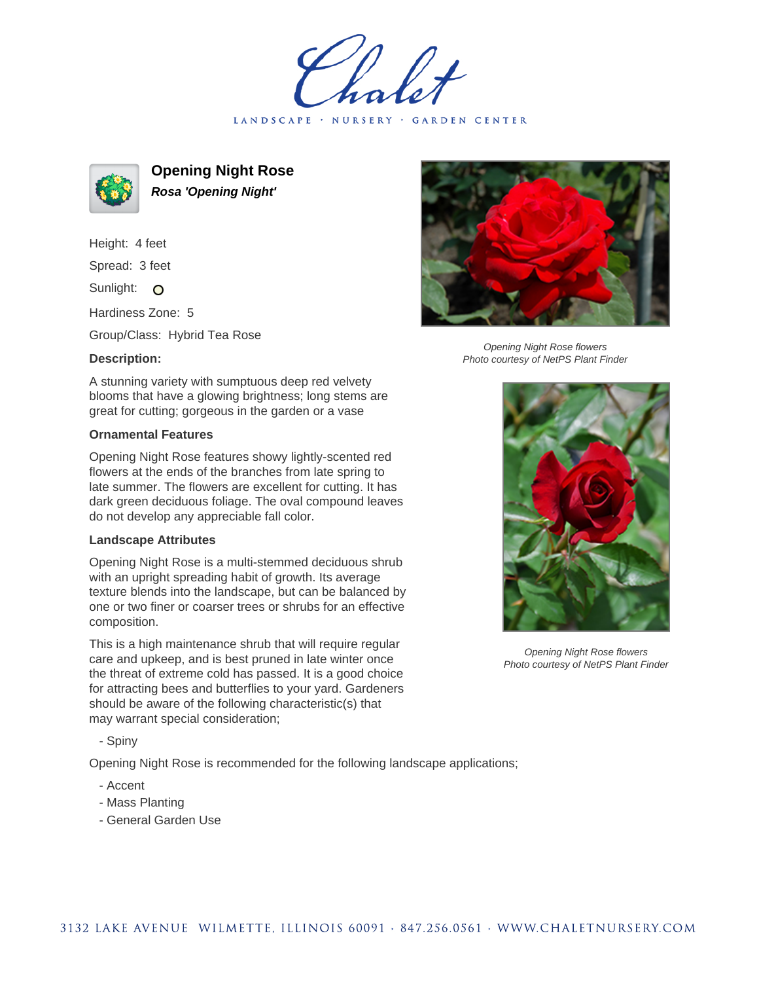LANDSCAPE · NURSERY · GARDEN CENTER



**Opening Night Rose Rosa 'Opening Night'**

Height: 4 feet Spread: 3 feet Sunlight: O

Hardiness Zone: 5

Group/Class: Hybrid Tea Rose

## **Description:**

A stunning variety with sumptuous deep red velvety blooms that have a glowing brightness; long stems are great for cutting; gorgeous in the garden or a vase

## **Ornamental Features**

Opening Night Rose features showy lightly-scented red flowers at the ends of the branches from late spring to late summer. The flowers are excellent for cutting. It has dark green deciduous foliage. The oval compound leaves do not develop any appreciable fall color.

## **Landscape Attributes**

Opening Night Rose is a multi-stemmed deciduous shrub with an upright spreading habit of growth. Its average texture blends into the landscape, but can be balanced by one or two finer or coarser trees or shrubs for an effective composition.

This is a high maintenance shrub that will require regular care and upkeep, and is best pruned in late winter once the threat of extreme cold has passed. It is a good choice for attracting bees and butterflies to your yard. Gardeners should be aware of the following characteristic(s) that may warrant special consideration;

- Spiny

Opening Night Rose is recommended for the following landscape applications;

- Accent
- Mass Planting
- General Garden Use



Opening Night Rose flowers Photo courtesy of NetPS Plant Finder



Opening Night Rose flowers Photo courtesy of NetPS Plant Finder